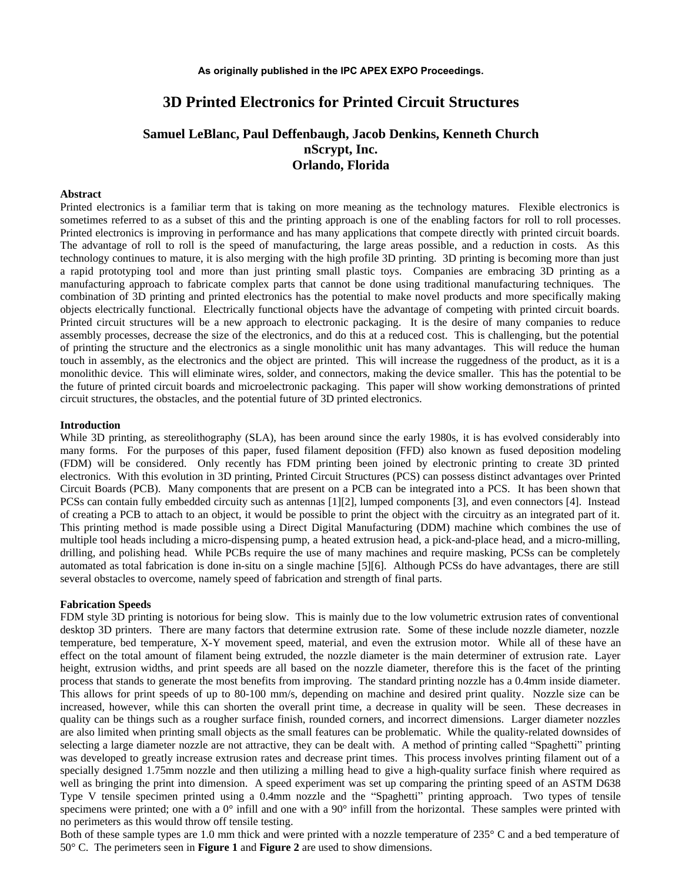# **3D Printed Electronics for Printed Circuit Structures**

# **Samuel LeBlanc, Paul Deffenbaugh, Jacob Denkins, Kenneth Church nScrypt, Inc. Orlando, Florida**

### **Abstract**

Printed electronics is a familiar term that is taking on more meaning as the technology matures. Flexible electronics is sometimes referred to as a subset of this and the printing approach is one of the enabling factors for roll to roll processes. Printed electronics is improving in performance and has many applications that compete directly with printed circuit boards. The advantage of roll to roll is the speed of manufacturing, the large areas possible, and a reduction in costs. As this technology continues to mature, it is also merging with the high profile 3D printing. 3D printing is becoming more than just a rapid prototyping tool and more than just printing small plastic toys. Companies are embracing 3D printing as a manufacturing approach to fabricate complex parts that cannot be done using traditional manufacturing techniques. The combination of 3D printing and printed electronics has the potential to make novel products and more specifically making objects electrically functional. Electrically functional objects have the advantage of competing with printed circuit boards. Printed circuit structures will be a new approach to electronic packaging. It is the desire of many companies to reduce assembly processes, decrease the size of the electronics, and do this at a reduced cost. This is challenging, but the potential of printing the structure and the electronics as a single monolithic unit has many advantages. This will reduce the human touch in assembly, as the electronics and the object are printed. This will increase the ruggedness of the product, as it is a monolithic device. This will eliminate wires, solder, and connectors, making the device smaller. This has the potential to be the future of printed circuit boards and microelectronic packaging. This paper will show working demonstrations of printed circuit structures, the obstacles, and the potential future of 3D printed electronics.

#### **Introduction**

While 3D printing, as stereolithography (SLA), has been around since the early 1980s, it is has evolved considerably into many forms. For the purposes of this paper, fused filament deposition (FFD) also known as fused deposition modeling (FDM) will be considered. Only recently has FDM printing been joined by electronic printing to create 3D printed electronics. With this evolution in 3D printing, Printed Circuit Structures (PCS) can possess distinct advantages over Printed Circuit Boards (PCB). Many components that are present on a PCB can be integrated into a PCS. It has been shown that PCSs can contain fully embedded circuity such as antennas [1][2], lumped components [3], and even connectors [4]. Instead of creating a PCB to attach to an object, it would be possible to print the object with the circuitry as an integrated part of it. This printing method is made possible using a Direct Digital Manufacturing (DDM) machine which combines the use of multiple tool heads including a micro-dispensing pump, a heated extrusion head, a pick-and-place head, and a micro-milling, drilling, and polishing head. While PCBs require the use of many machines and require masking, PCSs can be completely automated as total fabrication is done in-situ on a single machine [5][6]. Although PCSs do have advantages, there are still several obstacles to overcome, namely speed of fabrication and strength of final parts.

#### **Fabrication Speeds**

FDM style 3D printing is notorious for being slow. This is mainly due to the low volumetric extrusion rates of conventional desktop 3D printers. There are many factors that determine extrusion rate. Some of these include nozzle diameter, nozzle temperature, bed temperature, X-Y movement speed, material, and even the extrusion motor. While all of these have an effect on the total amount of filament being extruded, the nozzle diameter is the main determiner of extrusion rate. Layer height, extrusion widths, and print speeds are all based on the nozzle diameter, therefore this is the facet of the printing process that stands to generate the most benefits from improving. The standard printing nozzle has a 0.4mm inside diameter. This allows for print speeds of up to 80-100 mm/s, depending on machine and desired print quality. Nozzle size can be increased, however, while this can shorten the overall print time, a decrease in quality will be seen. These decreases in quality can be things such as a rougher surface finish, rounded corners, and incorrect dimensions. Larger diameter nozzles are also limited when printing small objects as the small features can be problematic. While the quality-related downsides of selecting a large diameter nozzle are not attractive, they can be dealt with. A method of printing called "Spaghetti" printing was developed to greatly increase extrusion rates and decrease print times. This process involves printing filament out of a specially designed 1.75mm nozzle and then utilizing a milling head to give a high-quality surface finish where required as well as bringing the print into dimension. A speed experiment was set up comparing the printing speed of an ASTM D638 Type V tensile specimen printed using a 0.4mm nozzle and the "Spaghetti" printing approach. Two types of tensile specimens were printed; one with a  $0^{\circ}$  infill and one with a  $90^{\circ}$  infill from the horizontal. These samples were printed with no perimeters as this would throw off tensile testing.

Both of these sample types are 1.0 mm thick and were printed with a nozzle temperature of 235° C and a bed temperature of 50° C. The perimeters seen in **Figure 1** and **Figure 2** are used to show dimensions.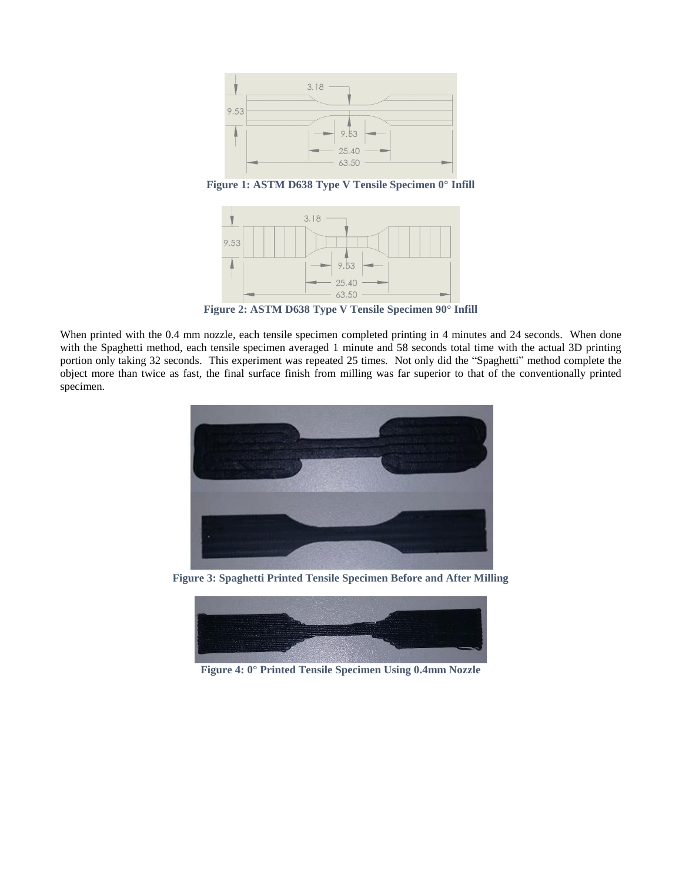

**Figure 1: ASTM D638 Type V Tensile Specimen 0° Infill**



**Figure 2: ASTM D638 Type V Tensile Specimen 90° Infill**

When printed with the 0.4 mm nozzle, each tensile specimen completed printing in 4 minutes and 24 seconds. When done with the Spaghetti method, each tensile specimen averaged 1 minute and 58 seconds total time with the actual 3D printing portion only taking 32 seconds. This experiment was repeated 25 times. Not only did the "Spaghetti" method complete the object more than twice as fast, the final surface finish from milling was far superior to that of the conventionally printed specimen.



**Figure 3: Spaghetti Printed Tensile Specimen Before and After Milling**



**Figure 4: 0° Printed Tensile Specimen Using 0.4mm Nozzle**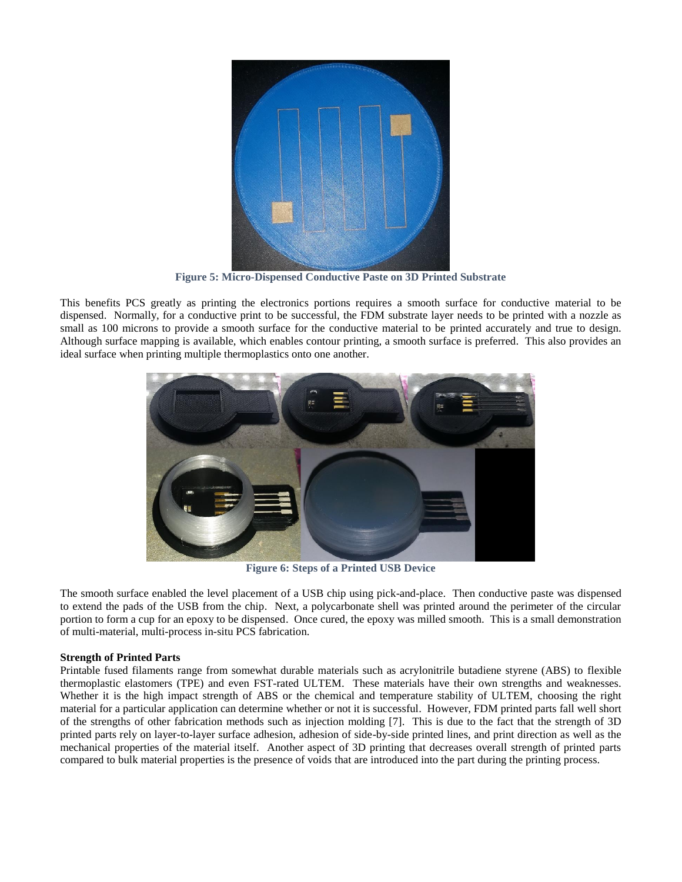

**Figure 5: Micro-Dispensed Conductive Paste on 3D Printed Substrate**

This benefits PCS greatly as printing the electronics portions requires a smooth surface for conductive material to be dispensed. Normally, for a conductive print to be successful, the FDM substrate layer needs to be printed with a nozzle as small as 100 microns to provide a smooth surface for the conductive material to be printed accurately and true to design. Although surface mapping is available, which enables contour printing, a smooth surface is preferred. This also provides an ideal surface when printing multiple thermoplastics onto one another.



**Figure 6: Steps of a Printed USB Device**

The smooth surface enabled the level placement of a USB chip using pick-and-place. Then conductive paste was dispensed to extend the pads of the USB from the chip. Next, a polycarbonate shell was printed around the perimeter of the circular portion to form a cup for an epoxy to be dispensed. Once cured, the epoxy was milled smooth. This is a small demonstration of multi-material, multi-process in-situ PCS fabrication.

### **Strength of Printed Parts**

Printable fused filaments range from somewhat durable materials such as acrylonitrile butadiene styrene (ABS) to flexible thermoplastic elastomers (TPE) and even FST-rated ULTEM. These materials have their own strengths and weaknesses. Whether it is the high impact strength of ABS or the chemical and temperature stability of ULTEM, choosing the right material for a particular application can determine whether or not it is successful. However, FDM printed parts fall well short of the strengths of other fabrication methods such as injection molding [7]. This is due to the fact that the strength of 3D printed parts rely on layer-to-layer surface adhesion, adhesion of side-by-side printed lines, and print direction as well as the mechanical properties of the material itself. Another aspect of 3D printing that decreases overall strength of printed parts compared to bulk material properties is the presence of voids that are introduced into the part during the printing process.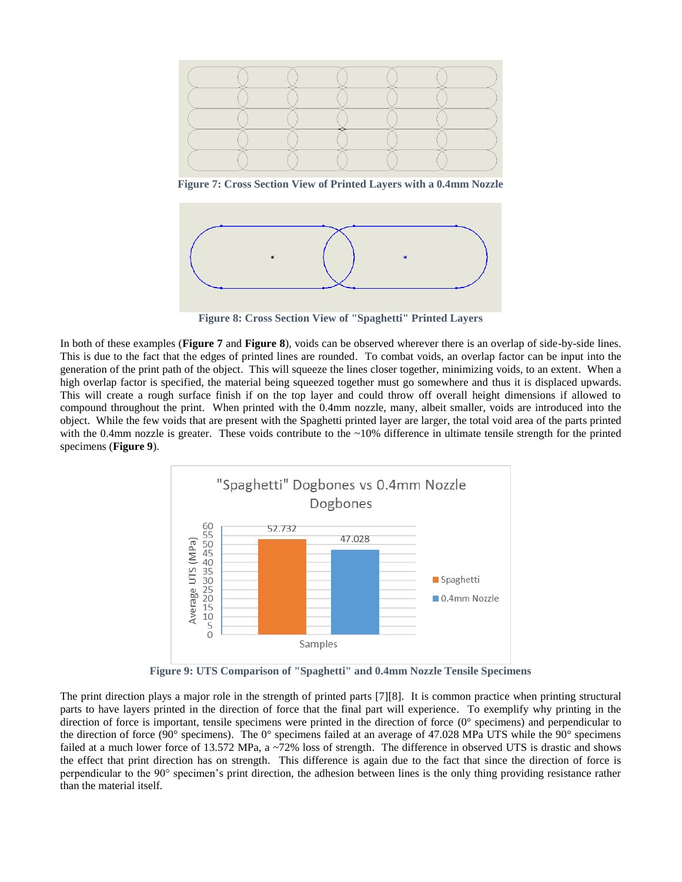

**Figure 7: Cross Section View of Printed Layers with a 0.4mm Nozzle**



**Figure 8: Cross Section View of "Spaghetti" Printed Layers**

In both of these examples (**Figure 7** and **Figure 8**), voids can be observed wherever there is an overlap of side-by-side lines. This is due to the fact that the edges of printed lines are rounded. To combat voids, an overlap factor can be input into the generation of the print path of the object. This will squeeze the lines closer together, minimizing voids, to an extent. When a high overlap factor is specified, the material being squeezed together must go somewhere and thus it is displaced upwards. This will create a rough surface finish if on the top layer and could throw off overall height dimensions if allowed to compound throughout the print. When printed with the 0.4mm nozzle, many, albeit smaller, voids are introduced into the object. While the few voids that are present with the Spaghetti printed layer are larger, the total void area of the parts printed with the 0.4mm nozzle is greater. These voids contribute to the  $\sim$ 10% difference in ultimate tensile strength for the printed specimens (**Figure 9**).



**Figure 9: UTS Comparison of "Spaghetti" and 0.4mm Nozzle Tensile Specimens**

The print direction plays a major role in the strength of printed parts [7][8]. It is common practice when printing structural parts to have layers printed in the direction of force that the final part will experience. To exemplify why printing in the direction of force is important, tensile specimens were printed in the direction of force (0° specimens) and perpendicular to the direction of force (90° specimens). The 0° specimens failed at an average of 47.028 MPa UTS while the 90° specimens failed at a much lower force of 13.572 MPa, a ~72% loss of strength. The difference in observed UTS is drastic and shows the effect that print direction has on strength. This difference is again due to the fact that since the direction of force is perpendicular to the 90° specimen's print direction, the adhesion between lines is the only thing providing resistance rather than the material itself.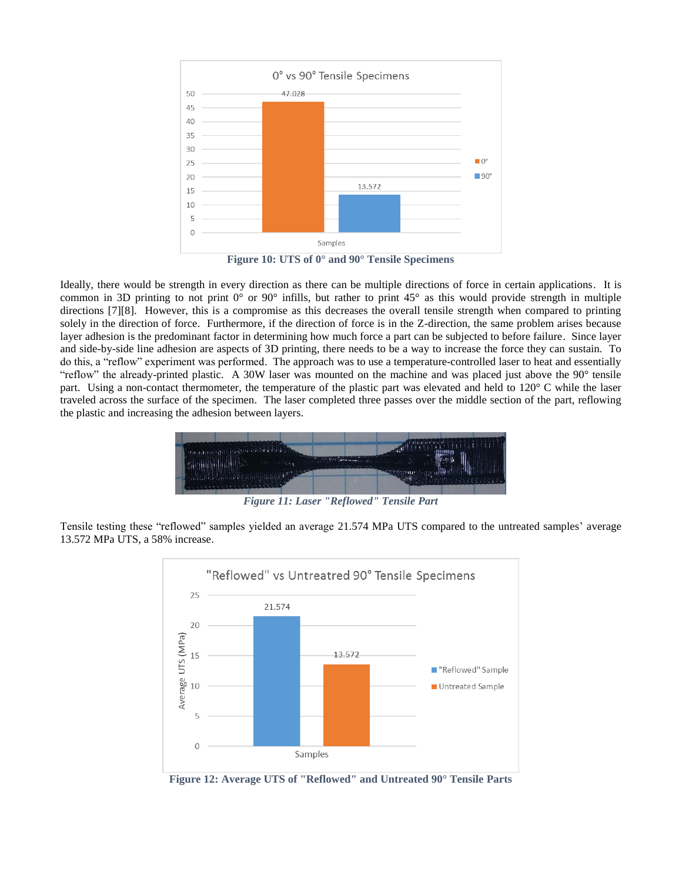

**Figure 10: UTS of 0° and 90° Tensile Specimens**

Ideally, there would be strength in every direction as there can be multiple directions of force in certain applications. It is common in 3D printing to not print  $0^{\circ}$  or  $90^{\circ}$  infills, but rather to print 45° as this would provide strength in multiple directions [7][8]. However, this is a compromise as this decreases the overall tensile strength when compared to printing solely in the direction of force. Furthermore, if the direction of force is in the Z-direction, the same problem arises because layer adhesion is the predominant factor in determining how much force a part can be subjected to before failure. Since layer and side-by-side line adhesion are aspects of 3D printing, there needs to be a way to increase the force they can sustain. To do this, a "reflow" experiment was performed. The approach was to use a temperature-controlled laser to heat and essentially "reflow" the already-printed plastic. A 30W laser was mounted on the machine and was placed just above the  $90^\circ$  tensile part. Using a non-contact thermometer, the temperature of the plastic part was elevated and held to 120° C while the laser traveled across the surface of the specimen. The laser completed three passes over the middle section of the part, reflowing the plastic and increasing the adhesion between layers.



*Figure 11: Laser "Reflowed" Tensile Part*

Tensile testing these "reflowed" samples yielded an average 21.574 MPa UTS compared to the untreated samples' average 13.572 MPa UTS, a 58% increase.



**Figure 12: Average UTS of "Reflowed" and Untreated 90° Tensile Parts**